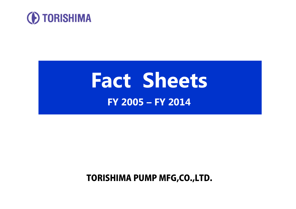

# **Fact Sheets FY 2005 – FY 2014**

TORISHIMA PUMP MFG,CO.,LTD.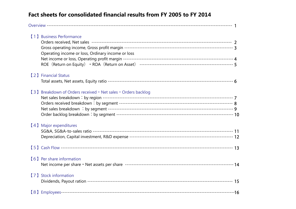#### **Fact sheets for consolidated financial results from FY 2005 to FY 2014**

| (1) Business Performance<br>Operating income or loss, Ordinary income or loss |  |
|-------------------------------------------------------------------------------|--|
| [2] Financial Status                                                          |  |
| [3] Breakdown of Orders received • Net sales • Orders backlog                 |  |
| [4] Major expenditures                                                        |  |
|                                                                               |  |
| [6] Per share information                                                     |  |
| [7] Stock information                                                         |  |
|                                                                               |  |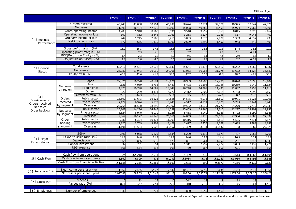|                    |            |                                     | <b>FY2005</b>          | <b>FY2006</b>     | <b>FY2007</b> | <b>FY2008</b> | <b>FY2009</b> | <b>FY2010</b>  | FY2011            | <b>FY2012</b> | FY2013               | <b>FY2014</b>          |
|--------------------|------------|-------------------------------------|------------------------|-------------------|---------------|---------------|---------------|----------------|-------------------|---------------|----------------------|------------------------|
|                    |            | Orders received                     | 46,443                 | 43,088            | 50,794        | 46,988        | 58,624        | 32,974         | 39,579            | 40,975        | 52.847               | 42,878                 |
|                    |            | Net sales                           | 31,393                 | 36,404            | 47.272        | 45.692        | 45,008        | 49,880         | 46,453            | 45.974        | 45.985               | 46,501                 |
|                    |            | Gross operating income              | 4,703                  | 5,940             | 8,269         | 8,596         | 9,548         | 9,257          | 8,959             | 8,015         | 8,320                | 9,162                  |
|                    |            | Operating income or loss            | 107                    | 852               | 2.643         | 2,761         | 3.258         | 3.127          | 2.286             | 517           | ▲945                 | 400                    |
| [1] Business       |            | Ordinary income or loss             | 747                    | 1,245             | 2,566         | 3,410         | 3,833         | 3,673          | 2,929             | 1,389         | $\triangle$ 632      | 793                    |
| Performance        |            | Net income or loss                  | 377                    | 635               | 1,410         | 1,990         | 2,609         | 1,892          | 1,497             | 943           | 442                  | 405                    |
|                    |            |                                     |                        |                   |               |               |               |                |                   |               |                      |                        |
|                    |            | Gross profit margin (%)             | 15.0                   | 16.3              | 17.5          | 18.8          | 21.2          | 18.6           | 19.3              | 17.4          | 18.1                 | 19.7                   |
|                    |            | Operating profit margin (%)         | 0.3                    | 2.3               | 5.6           | 6.0           | 7.2           | 6.3            | 4.9               | 1.1           | $\triangle$ 2.1      | 0.9                    |
|                    |            | ROE(Return on Equity)<br>(9/6)      | 1.4                    | $\overline{2.3}$  | 5.2           | 8.0           | 9.5           | 6.1            | $\overline{4.8}$  | 2.9           | 1.3                  | 1.2                    |
|                    |            | ROA(Return on Asset)<br>(9/6)       | 1.3                    | 2.0               | 4.0           | 5.5           | 6.0           | 5.8            | 4.8               | 2.2           | $\blacktriangle$ 0.9 | 1.1                    |
|                    |            |                                     |                        |                   |               |               |               |                |                   |               |                      |                        |
|                    |            | Total assets                        | 60,416                 | 65,581            | 62,076        | 62,132        | 65,641        | 61,178         | 60,812            | 68,232        | 68,062               | 71,987                 |
| [2] Financial      |            | Net assets                          | 28,282                 | 27,943            | 26,030        | 24,006        | 31,083        | 30,968         | 31,775            | 33,602        | 34,524               | 36,532                 |
| <b>Status</b>      |            | Equity ratio (%)                    | 46.8                   | 42.6              | 41.9          | 38.6          | 47.2          | 50.3           | 51.3              | 48.2          | 49.9                 | 50.0                   |
|                    |            |                                     |                        |                   |               |               |               |                |                   |               |                      |                        |
|                    |            | Japan                               | 22,026                 | 20,278            | 20,524        | 19.126        | 20,939        | 18,703         | 17,281            | 18,070        | 20,096               | 19,104                 |
|                    |            | Asia                                | 4.121                  | 4.089             | 8.733         | 8.449         | 5.408         | 11.196         | 13.125            | 10.259        | 9,042                | 11,124                 |
|                    | Net sales  | <b>Middle East</b>                  | 4,320                  | 10,798            | 14,682        | 13,347        | 16,248        | 14,369         | 11,430            | 11,887        | 9,753                | 11,115                 |
|                    | by region  | <b>Others</b>                       | 926                    | 1,239             | 3,331         | 4,770         | 2,412         | 5,609          | 4,615             | 5,758         | 7,092                | 5,156                  |
|                    |            | Overseas ratio (%)                  | 29.8                   | 44.3              | 56.6          | 58.1          | 53.5          | 62.5           | 62.8              | 60.7          | 56.3                 | 58.9                   |
| [3]                | Orders     | Public sector                       | 13,507                 | 17,643            | 16,525        | 14,835        | 14,575        | 9.973          | 11,600            | 10,971        | 15,923               | 12,001                 |
| Breakdown of       | received   | Private sector                      | 7,177                  | 6,924             | 5,578         | 5,245         | 4,517         | 4,921          | 6,205             | 5,733         | 7.144                | 6,943                  |
| Orders received    | by segment | Overseas                            | 25,758                 | 18,520            | 28,690        | 26,907        | 39,532        | 18,079         | 21,772            | 24,270        | 29,779               | 23,933                 |
| Net sales          |            | Public sector                       | 15,201                 | 14,236            | 14,445        | 14,099        | 15,469        | 13,760         | 11,317            | 12,277        | 13,797               | 12,957                 |
| Order backlog      | Net sales  | Private sector                      | 6,824                  | 6,040             | 6,079         | 5,025         | 5,468         | 4,942          | 5,963             | 5,792         | 6,299                | 6,146                  |
|                    | by segment | Overseas                            | 9,367                  | 16,127            | 26,748        | 26,566        | 24,069        | 31,176         | 29,172            | 27,904        | 25,888               | 27,397                 |
|                    | Order      | Public sector                       | 4,986                  | 8,394             | 10,473        | 11,209        | 10,316        | 6,528          | 6,811             | 5,505         | 7,631                | 6,675                  |
|                    | backlog    | Private sector                      | 2,825                  | 3,709             | 3,208         | 3,428         | 2,477         | 2,455          | 2,698             | 2,639         | 3,484                | 4,281                  |
|                    | y segment  | Overseas                            | 31,191                 | 33,584            | 35,526        | 35,867        | 51,329        | 38,231         | 30,832            | 27,198        | 31,089               | 27,625                 |
|                    |            |                                     |                        |                   |               |               |               |                |                   |               |                      |                        |
|                    |            | SG&A                                | 4,596                  | 5,088             | 5,625         | 5,834         | 6,290         | 6,130          | 6,673             | 7,497         | 9,265                | 8,761                  |
|                    |            | SG&A-to-sales ratio (%)             | 14.7                   | 14.0              | 11.9          | 12.8          | 14.0          | 12.3           | 14.4              | 16.3          | 20.1                 | 18.8                   |
| 【4】Major           |            | Depreciation                        | 968                    | 866               | 910           | 873           | 851           | 961            | 1,096             | 1,231         | 1,646                | 1,636                  |
| Expenditures       |            | Capital investment                  | 332                    | 731               | 654           | 739           | 1,311         | 2,297          | 2,224             | 3,083         | 2,139                | 1,221                  |
|                    |            | R&D expense                         | 561                    | 534               | 638           | 603           | 730           | 567            | 606               | 691           | 678                  | 658                    |
|                    |            |                                     |                        |                   |               |               |               |                |                   |               |                      |                        |
|                    |            | Cash flow from operations           | 224                    | $\triangle$ 5,218 | 2,511         | 922           | 4.439         | 735            | 2,661             | 3,513         | ▲4,086               | $\blacktriangle$ 1,194 |
| [5] Cash Flow      |            | Cash flow from investments          | 3,560                  | ▲599              | 578           | ▲1259         | ▲3084         | $\triangle$ 75 | $\triangle$ 1,269 | ▲3,966        | ▲4,498               | ▲345                   |
|                    |            | Cash flow from financial activities | $\blacktriangle$ 1.185 | 2,355             | ▲1465         | ▲669          | 1,678         | 590            | ▲2371             | 4,356         | $\triangle$ 112      |                        |
|                    |            |                                     |                        |                   |               |               |               |                |                   |               |                      | 2,120                  |
|                    |            |                                     |                        |                   |               |               |               |                |                   |               |                      |                        |
| [6] Per share Info |            | Net income per share (yen)          | 14.62                  | 24.65             | 54.77         | 77.32         | 100.07        | 67.45          | 53.38             | 33.64         | 15.74                | 14.61                  |
|                    |            | Net assets per share (yen)          | 1,097.87               | 1,084.65          | 1,010.45      | 931.13        | 1,105.50      | 1,097.71       | 1,112.29          | 1,172.56      | 1,209.10             | 1,308.22               |
|                    |            | <b>Dividends</b>                    |                        |                   |               |               |               |                |                   |               |                      |                        |
| [7] Stock Info     |            | Payout ratio (%)                    | 12<br>82.1             | 13                | 15            | 17            | $20^{*}$      | 18             | 18<br>33.7        | 18            | 18                   | 18                     |
|                    |            |                                     |                        | 52.7              | 27.4          | 22.0          | 20.0          | 26.7           |                   | 53.5          | 114.4                | 123.2                  |
| (8) Employees      |            | Number of employees                 | 846                    | 756               | $771$         | 816           | 850           | 1.059          | 1.406             | 1.536         | 1.472                | 1.516                  |
|                    |            |                                     |                        |                   |               |               |               |                |                   |               |                      |                        |

※ includes additional 2-yen of commemorative dividend for our 90th year of business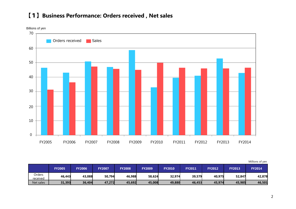## 【1】**Business Performance: Orders received , Net sales**



| Millions of yen |  |  |
|-----------------|--|--|
|-----------------|--|--|

|                    | <b>FY2005</b> | <b>FY2006</b> | <b>FY2007</b> | <b>FY2008</b> | <b>FY2009</b> | <b>FY2010</b> | <b>FY2011</b> | <b>FY2012</b> | <b>FY2013</b> | <b>FY2014</b> |
|--------------------|---------------|---------------|---------------|---------------|---------------|---------------|---------------|---------------|---------------|---------------|
| Orders<br>received | 46,443        | 43,088        | 50,794        | 46,988        | 58,624        | 32,974        | 39,579        | 40,975        | 52,847        | 42,878        |
| Net sales          | 31,393        | 36,404        | 47,272        | 45,692        | 45,008        | 49,880        | 46,453        | 45,974        | 45,985        | 46,501        |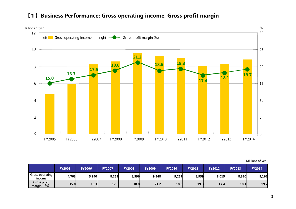

#### 【1 】**Business Performance: Gross operating income, Gross profit margin**

|                                 | <b>FY2005</b> | <b>FY2006</b> | <b>FY2007</b> | <b>FY2008</b> | <b>FY2009</b> | <b>FY2010</b> | <b>FY2011</b> | <b>FY2012</b> | <b>FY2013</b> | <b>FY2014</b> |
|---------------------------------|---------------|---------------|---------------|---------------|---------------|---------------|---------------|---------------|---------------|---------------|
| Gross operating<br>income       | 4,703         | 5,940         | 8,269         | 8,596         | 9,548         | 9,257         | 8,959         | 8,015         | 8,320         | 9,162         |
| Gross profit<br>(9/6)<br>margin | 15.0          | 16.3          | 17.5          | 18.8          | 21.2          | 18.6          | 19.3          | 17.4          | 18.1          | 19.7          |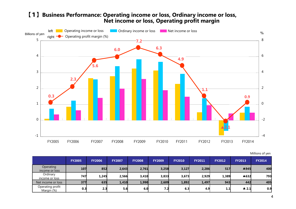#### 【1】**Business Performance: Operating income or loss, Ordinary income or loss, Net income or loss, Operating profit margin**



| Millions of yen |  |  |  |  |
|-----------------|--|--|--|--|
|-----------------|--|--|--|--|

|                                | <b>FY2005</b> | <b>FY2006</b> | <b>FY2007</b> | <b>FY2008</b> | <b>FY2009</b> | <b>FY2010</b> | <b>FY2011</b> | <b>FY2012</b> | <b>FY2013</b>        | <b>FY2014</b> |
|--------------------------------|---------------|---------------|---------------|---------------|---------------|---------------|---------------|---------------|----------------------|---------------|
| Operating<br>income or loss    | 107           | 852           | 2,643         | 2,761         | 3,258         | 3,127         | 2,286         | 517           | A945                 | 400           |
| Ordinary<br>income or loss     | 747           | 1,245         | 2,566         | 3,410         | 3,833         | 3,673         | 2,929         | 1,389         | ▲632                 | 793           |
| Net income or loss             | 377           | 635           | 1,410         | 1,990         | 2,609         | 1,892         | 1,497         | 943           | 442                  | 405           |
| Operating profit<br>Margin (%) | 0.3           | 2.3           | 5.6           | 6.0           | 7.2           | 6.3           | 4.9           | 1.1           | $\blacktriangle$ 2.1 | 0.9           |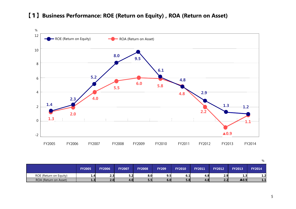

#### 【1】**Business Performance: ROE (Return on Equity) , ROA (Return on Asset)**

**FY2005 FY2006 FY2007 FY2008 FY209 FY2010 FY2011 FY2012 FY2013 FY2014FY2014** ROE (Return on Equity) **1.4 2.3 5.2 8.0 9.5 6.1 4.8 2.9 1.3 1.2**  ROA (Return on Asset) **1.3 2.0 4.0 5.5 6.0 5.8 4.8 2.2** ▲**0.9 1.1**

%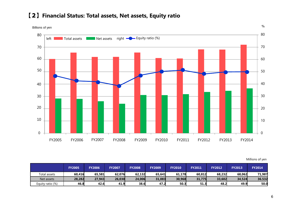#### 【2】**Financial Status: Total assets, Net assets, Equity ratio**

Billions of yen



Millions of yen

%

|                  | <b>FY2005</b> | <b>FY2006</b> | <b>FY2007</b> | <b>FY2008</b> | <b>FY2009</b> | <b>FY2010</b> | <b>FY2011</b> | <b>FY2012</b> | <b>FY2013</b> | <b>FY2014</b> |
|------------------|---------------|---------------|---------------|---------------|---------------|---------------|---------------|---------------|---------------|---------------|
| Total assets     | 60,416        | 65,581        | 62,076        | 62,132        | 65,641        | 61,178        | 60,812        | 68,232        | 68,062        | 71,987        |
| Net assets       | 28,282        | 27,943        | 26,030        | 24,006        | 31,083        | 30,968        | 31,775        | 33.602        | 34,524        | 36.532        |
| Equity ratio (%) | 46.8          | 42.6          | 41.9          | 38.6          | 47.2          | 50.3          | 51.3          | 48.2          | 49.9          | 50.0          |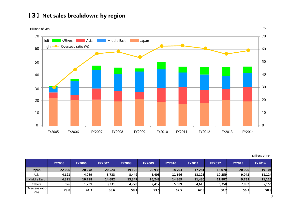## 【3】**Net sales breakdown: by region**

Billions of yen



Millions of yen

|                           | <b>FY2005</b> | <b>FY2006</b> | <b>FY2007</b> | <b>FY2008</b> | <b>FY2009</b> | <b>FY2010</b> | <b>FY2011</b> | <b>FY2012</b> | <b>FY2013</b> | <b>FY2014</b> |
|---------------------------|---------------|---------------|---------------|---------------|---------------|---------------|---------------|---------------|---------------|---------------|
| Japan                     | 22,026        | 20,278        | 20,524        | 19,126        | 20,939        | 18,703        | 17,281        | 18,070        | 20,096        | 19,104        |
| Asia                      | 4.121         | 4,089         | 8,733         | 8,449         | 5,408         | 11,196        | 13.125        | 10,259        | 9.042         | 11,124        |
| <b>Middle East</b>        | 4,321         | 10,798        | 14,682        | 13,347        | 16,248        | 14,369        | 11,430        | 11,887        | 9,753         | 11,115        |
| <b>Others</b>             | 926           | 1,239         | 3,331         | 4,770         | 2,412         | 5,609         | 4,615         | 5,758         | 7,092         | 5,156         |
| l Overseas ratio l<br>(%) | 29.8          | 44.3          | 56.6          | 58.1          | 53.5          | 62.5          | 62.8          | 60.7          | 56.3          | 58.9          |

7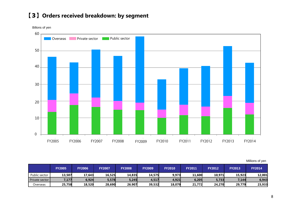# 【3】**Orders received breakdown: by segment**

Billons of yen



|                | <b>FY2005</b> | <b>FY2006</b> | <b>FY2007</b> | <b>FY2008</b> | <b>FY2009</b> | <b>FY2010</b> | <b>FY2011</b> | <b>FY2012</b> | <b>FY2013</b> | <b>FY2014</b> |
|----------------|---------------|---------------|---------------|---------------|---------------|---------------|---------------|---------------|---------------|---------------|
| Public sector  | 13,507        | 17,643        | 16,525        | 14,835        | 14,575        | 9,973         | 11,600        | 10,971        | 15,923        | 12,001        |
| Private sector | 7,177         | 6,924         | 5,578         | 5,245         | 4,517         | 4,921         | 6,205         | 5,733         | 7,144         | 6,943         |
| Overseas       | 25,758        | 18,520        | 28,690        | 26.907        | 39,532        | 18,079        | 21,772        | 24,270        | 29,779        | 23,933        |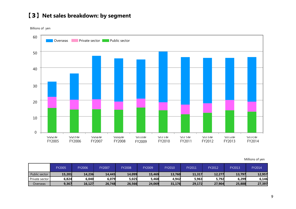## 【3】**Net sales breakdown: by segment**

Billions of yen



|                | <b>FY2005</b> | Y2006 <sup>-</sup> | FY2007 | <b>FY2008</b> | FY2009 | FY2010 | FY2011 | FY2012 | FY2013 | FY2014 |
|----------------|---------------|--------------------|--------|---------------|--------|--------|--------|--------|--------|--------|
| Public sector  | 15,201        | 14,236             | 14,445 | 14,099        | 15,469 | 13,760 | 11,317 | 12,277 | 13,797 | 12,957 |
| Private sector | 6,824         | 6,040              | 6,079  | 5,025         | 5,468  | 4,942  | 5,963  | 5,792  | 6,299  | 6,146  |
| Overseas       | 9,367         | 16,127             | 26,748 | 26,566        | 24,069 | 31,176 | 29,172 | 27,904 | 25,888 | 27,397 |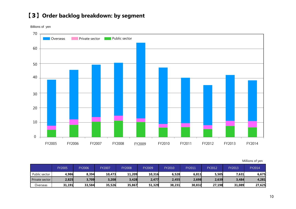# 【3】**Order backlog breakdown: by segment**

Billions of yen



|                  | <b>FY2005</b> | FY2006 | FY2007 | <b>FY2008</b> | FY2009 | FY2010 | FY2011 | <b>FY2012</b> | FY2013 | FY2014 |
|------------------|---------------|--------|--------|---------------|--------|--------|--------|---------------|--------|--------|
| Public sector    | 4,986         | 8,394  | 10,473 | 11.209        | 10,316 | 6,528  | 6,811  | 5,505         | 7,631  | 6,675  |
| Private sector I | 2,825         | 3,709  | 3,208  | 3,428         | 2,477  | 2,455  | 2,698  | 2,639         | 3,484  | 4,281  |
| Overseas         | 31,191        | 33,584 | 35,526 | 35.867        | 51,329 | 38,231 | 30,832 | 27,198        | 31.089 | 27,625 |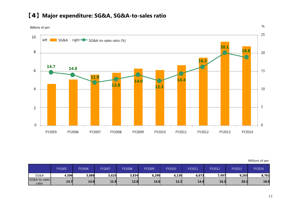

## 【4】**Major expenditure: SG&A, SG&A-to-sales ratio**

|                        | <b>FY2005</b> | <b>FY2006</b> | FY2007 | FY2008 | FY2009 | FY2010 | FY2011 | FY2012 | FY2013 | FY2014 |
|------------------------|---------------|---------------|--------|--------|--------|--------|--------|--------|--------|--------|
| SG&A                   | 4,596         | 5,088         | 5,625  | 5,834  | 6,290  | 6,130  | 6,673  | 7,497  | 9,265  | 8,761  |
| SG&A-to-sales<br>ratio | 14.7          | 14.0          | 11.9   | 12.8   | 14.0   | 12.3   | 14.4   | 16.3   | 20.1   | 18.8   |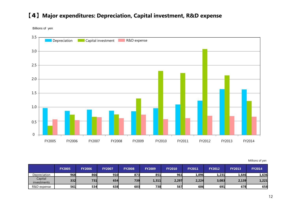## 【4】**Major expenditures: Depreciation, Capital investment, R&D expense**

Billions of yen



|                        | <b>FY2005</b> | <b>FY2006</b> | <b>FY2007</b> | <b>FY2008</b> | <b>FY2009</b> | <b>FY2010</b> | <b>FY2011</b> | <b>FY2012</b> | <b>FY2013</b> | <b>FY2014</b> |
|------------------------|---------------|---------------|---------------|---------------|---------------|---------------|---------------|---------------|---------------|---------------|
| Depreciation           | 968           | 866           | 910           | 873           | 851           | 961           | 1,096         | 1,231         | 1,646         | 1,636         |
| Capital<br>investments | 332           | 731           | 654           | 739           | 1,311         | 2,297         | 2,224         | 3,083         | 2,139         | 1,221         |
| R&D expense            | 561           | 534           | 638           | 603           | 730           | 567           | 606           | 691           | 678           | 658           |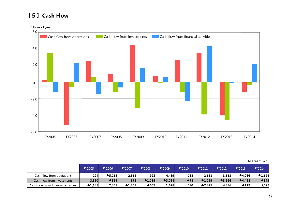## 【5】**Cash Flow**



|                                     | FY2005 | <b>FY2006</b> | FY2007 | <b>FY2008</b> | FY2009 | FY2010 | FY2011 | FY2012 | <b>FY2013</b> | FY2014                 |
|-------------------------------------|--------|---------------|--------|---------------|--------|--------|--------|--------|---------------|------------------------|
| Cash flow from operations           | 224    | ▲5,218        | 2,511  | 922           | 4,439  | 735    | 2,661  | 3,513  | ▲4,086        | $\blacktriangle$ 1.194 |
| Cash flow from investments          | 3,560  | <b>A599</b>   | 578    | ▲1,259        | ▲3,084 | ▲75    | ▲1,269 | ▲3,966 | ▲4,498        | ▲345                   |
| Cash flow from financial activities | ▲1,185 | 2,355         | ▲1.465 | ▲669          | 1,678  | 590    | ▲2.371 | 4,356  | ▲112          | 2,120                  |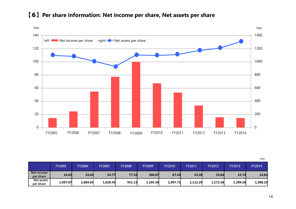

## 【6】**Per share information: Net income per share, Net assets per share**

|                         |               |               |               |               |               |               |          |               |               | Yen      |
|-------------------------|---------------|---------------|---------------|---------------|---------------|---------------|----------|---------------|---------------|----------|
|                         | <b>FY2005</b> | <b>FY2006</b> | <b>FY2007</b> | <b>FY2008</b> | <b>FY2009</b> | <b>FY2010</b> | FY2011   | <b>FY2012</b> | <b>FY2013</b> | FY2014   |
| Net income<br>per share | 14.62         | 24.65         | 54.77         | 77.32         | 100.07        | 67.45         | 53.38    | 33.64         | 15.74         | 14.61    |
| Net assets<br>per share | 1,097.87      | 1,084.65      | 1,010.45      | 931.13        | 1,105.50      | 1,097.71      | 1,112.29 | 1,172.56      | 1,209.10      | 1,308.22 |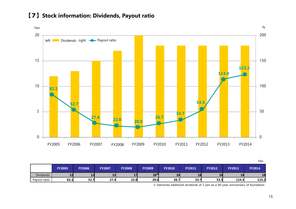

#### 【7】**Stock information: Dividends, Payout ratio**

|                  |               |               |               |               |                 |               |               |               |               | Yen           |
|------------------|---------------|---------------|---------------|---------------|-----------------|---------------|---------------|---------------|---------------|---------------|
|                  | <b>FY2005</b> | <b>FY2006</b> | <b>FY2007</b> | <b>FY2008</b> | <b>FY2009</b>   | <b>FY2010</b> | <b>FY2011</b> | <b>FY2012</b> | <b>FY2013</b> | <b>FY2014</b> |
| <b>Dividends</b> | 12            | 13            | 15            | 17            | 20 <sup>3</sup> | 18            | 18            | 18            | 18            | 18            |
| Payout ratio     | 82.1          | 52.7          | 27.4          | 22.0          | 20.0            | 26.7          | 33.7          | 53.5          | 114.4         | 123.2         |

※ Delivered additional dividends of 2 yen as a 90-year anniversary of foundation